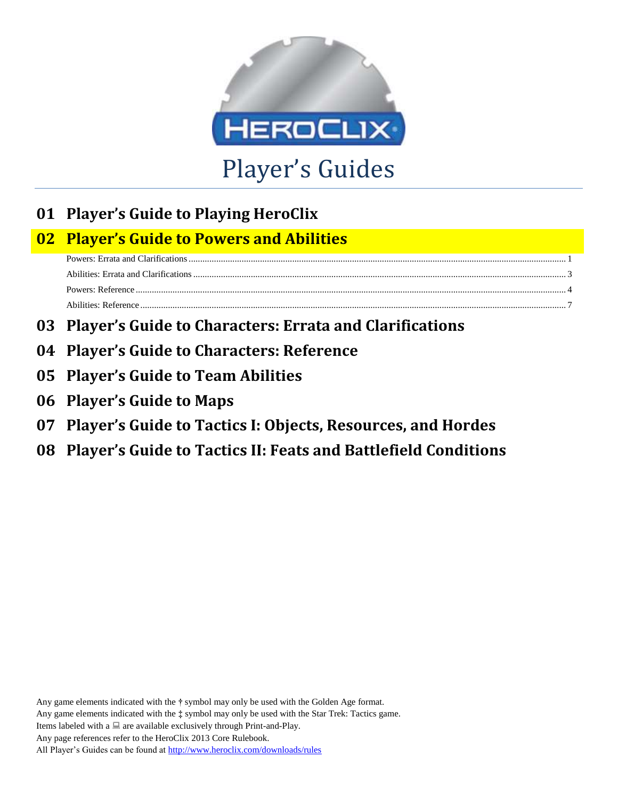

# **01 Player's Guide to Playing HeroClix**

# **02 Player's Guide to Powers and Abilities**

- **03 Player's Guide to Characters: Errata and Clarifications**
- **04 Player's Guide to Characters: Reference**
- **05 Player's Guide to Team Abilities**
- **06 Player's Guide to Maps**
- **07 Player's Guide to Tactics I: Objects, Resources, and Hordes**
- **08 Player's Guide to Tactics II: Feats and Battlefield Conditions**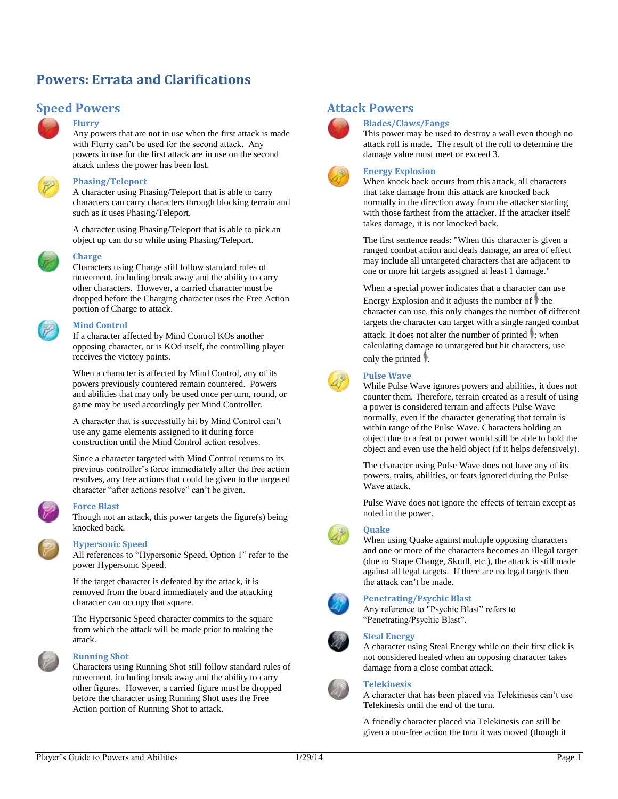# <span id="page-1-0"></span>**Powers: Errata and Clarifications**

# **Speed Powers**



# **Flurry**

Any powers that are not in use when the first attack is made with Flurry can't be used for the second attack. Any powers in use for the first attack are in use on the second attack unless the power has been lost.



### **Phasing/Teleport**

A character using Phasing/Teleport that is able to carry characters can carry characters through blocking terrain and such as it uses Phasing/Teleport.

A character using Phasing/Teleport that is able to pick an object up can do so while using Phasing/Teleport.



#### **Charge**

Characters using Charge still follow standard rules of movement, including break away and the ability to carry other characters. However, a carried character must be dropped before the Charging character uses the Free Action portion of Charge to attack.

#### **Mind Control**

If a character affected by Mind Control KOs another opposing character, or is KOd itself, the controlling player receives the victory points.

When a character is affected by Mind Control, any of its powers previously countered remain countered. Powers and abilities that may only be used once per turn, round, or game may be used accordingly per Mind Controller.

A character that is successfully hit by Mind Control can't use any game elements assigned to it during force construction until the Mind Control action resolves.

Since a character targeted with Mind Control returns to its previous controller's force immediately after the free action resolves, any free actions that could be given to the targeted character "after actions resolve" can't be given.

#### **Force Blast**

Though not an attack, this power targets the figure(s) being knocked back.

#### **Hypersonic Speed**

All references to "Hypersonic Speed, Option 1" refer to the power Hypersonic Speed.

If the target character is defeated by the attack, it is removed from the board immediately and the attacking character can occupy that square.

The Hypersonic Speed character commits to the square from which the attack will be made prior to making the attack.



#### **Running Shot**

Characters using Running Shot still follow standard rules of movement, including break away and the ability to carry other figures. However, a carried figure must be dropped before the character using Running Shot uses the Free Action portion of Running Shot to attack.

# **Attack Powers**



# **Blades/Claws/Fangs**

This power may be used to destroy a wall even though no attack roll is made. The result of the roll to determine the damage value must meet or exceed 3.

### **Energy Explosion**

When knock back occurs from this attack, all characters that take damage from this attack are knocked back normally in the direction away from the attacker starting with those farthest from the attacker. If the attacker itself takes damage, it is not knocked back.

The first sentence reads: "When this character is given a ranged combat action and deals damage, an area of effect may include all untargeted characters that are adjacent to one or more hit targets assigned at least 1 damage."

When a special power indicates that a character can use Energy Explosion and it adjusts the number of  $\uparrow$  the character can use, this only changes the number of different targets the character can target with a single ranged combat attack. It does not alter the number of printed  $\ddot{\phantom{a}}$ ; when calculating damage to untargeted but hit characters, use only the printed  $\mathbb{I}$ .



#### **Pulse Wave**

While Pulse Wave ignores powers and abilities, it does not counter them. Therefore, terrain created as a result of using a power is considered terrain and affects Pulse Wave normally, even if the character generating that terrain is within range of the Pulse Wave. Characters holding an object due to a feat or power would still be able to hold the object and even use the held object (if it helps defensively).

The character using Pulse Wave does not have any of its powers, traits, abilities, or feats ignored during the Pulse Wave attack.

Pulse Wave does not ignore the effects of terrain except as noted in the power.



#### **Quake**

When using Quake against multiple opposing characters and one or more of the characters becomes an illegal target (due to Shape Change, Skrull, etc.), the attack is still made against all legal targets. If there are no legal targets then the attack can't be made.



#### **Penetrating/Psychic Blast**

Any reference to "Psychic Blast" refers to "Penetrating/Psychic Blast".

#### **Steal Energy**

A character using Steal Energy while on their first click is not considered healed when an opposing character takes damage from a close combat attack.



# **Telekinesis**

A character that has been placed via Telekinesis can't use Telekinesis until the end of the turn.

A friendly character placed via Telekinesis can still be given a non-free action the turn it was moved (though it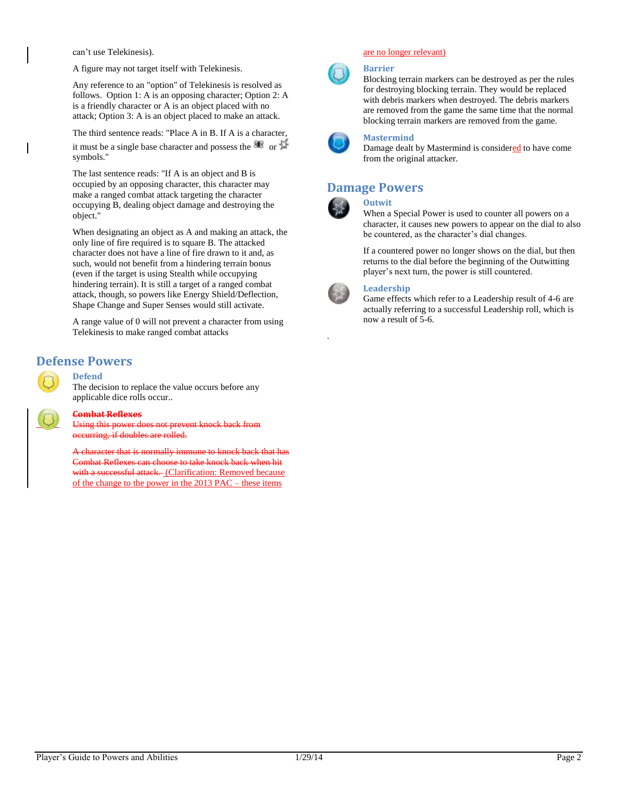can't use Telekinesis).

A figure may not target itself with Telekinesis.

Any reference to an "option" of Telekinesis is resolved as follows. Option 1: A is an opposing character; Option 2: A is a friendly character or A is an object placed with no attack; Option 3: A is an object placed to make an attack.

The third sentence reads: "Place A in B. If A is a character,

it must be a single base character and possess the  $\bullet\hspace{-.08in}$  or  $\bullet\hspace{-.08in}$ symbols."

The last sentence reads: "If A is an object and B is occupied by an opposing character, this character may make a ranged combat attack targeting the character occupying B, dealing object damage and destroying the object."

When designating an object as A and making an attack, the only line of fire required is to square B. The attacked character does not have a line of fire drawn to it and, as such, would not benefit from a hindering terrain bonus (even if the target is using Stealth while occupying hindering terrain). It is still a target of a ranged combat attack, though, so powers like Energy Shield/Deflection, Shape Change and Super Senses would still activate.

A range value of 0 will not prevent a character from using Telekinesis to make ranged combat attacks

# **Defense Powers**

# **Defend**

The decision to replace the value occurs before any applicable dice rolls occur..



#### **Combat Reflexes**

Using this power does not prevent knock back from occurring, if doubles are rolled.

A character that is normally immune to knock back that has Combat Reflexes can choose to take knock back when hit with a successful attack. (Clarification: Removed because of the change to the power in the 2013 PAC – these items

### are no longer relevant)



### **Barrier**

Blocking terrain markers can be destroyed as per the rules for destroying blocking terrain. They would be replaced with debris markers when destroyed. The debris markers are removed from the game the same time that the normal blocking terrain markers are removed from the game.



#### **Mastermind**

Damage dealt by Mastermind is considered to have come from the original attacker.

# **Damage Powers**



.

# **Outwit**

When a Special Power is used to counter all powers on a character, it causes new powers to appear on the dial to also be countered, as the character's dial changes.

If a countered power no longer shows on the dial, but then returns to the dial before the beginning of the Outwitting player's next turn, the power is still countered.

# **Leadership**

Game effects which refer to a Leadership result of 4-6 are actually referring to a successful Leadership roll, which is now a result of 5-6.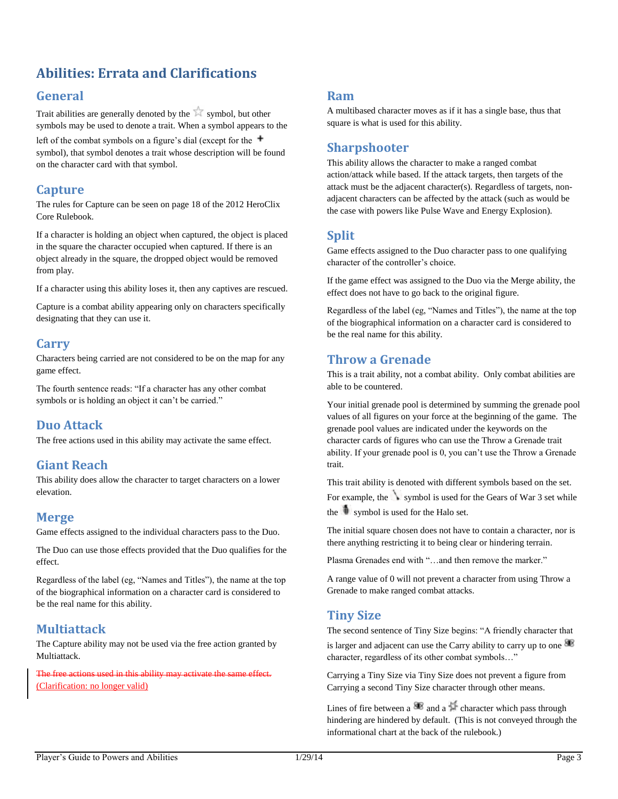# <span id="page-3-0"></span>**Abilities: Errata and Clarifications**

# **General**

Trait abilities are generally denoted by the symbol, but other symbols may be used to denote a trait. When a symbol appears to the

left of the combat symbols on a figure's dial (except for the  $+$ symbol), that symbol denotes a trait whose description will be found on the character card with that symbol.

# **Capture**

The rules for Capture can be seen on page 18 of the 2012 HeroClix Core Rulebook.

If a character is holding an object when captured, the object is placed in the square the character occupied when captured. If there is an object already in the square, the dropped object would be removed from play.

If a character using this ability loses it, then any captives are rescued.

Capture is a combat ability appearing only on characters specifically designating that they can use it.

# **Carry**

Characters being carried are not considered to be on the map for any game effect.

The fourth sentence reads: "If a character has any other combat symbols or is holding an object it can't be carried."

# **Duo Attack**

The free actions used in this ability may activate the same effect.

# **Giant Reach**

This ability does allow the character to target characters on a lower elevation.

# **Merge**

Game effects assigned to the individual characters pass to the Duo.

The Duo can use those effects provided that the Duo qualifies for the effect.

Regardless of the label (eg, "Names and Titles"), the name at the top of the biographical information on a character card is considered to be the real name for this ability.

# **Multiattack**

The Capture ability may not be used via the free action granted by Multiattack.

actions used in this ability may activate the (Clarification: no longer valid)

# **Ram**

A multibased character moves as if it has a single base, thus that square is what is used for this ability.

# **Sharpshooter**

This ability allows the character to make a ranged combat action/attack while based. If the attack targets, then targets of the attack must be the adjacent character(s). Regardless of targets, nonadjacent characters can be affected by the attack (such as would be the case with powers like Pulse Wave and Energy Explosion).

# **Split**

Game effects assigned to the Duo character pass to one qualifying character of the controller's choice.

If the game effect was assigned to the Duo via the Merge ability, the effect does not have to go back to the original figure.

Regardless of the label (eg, "Names and Titles"), the name at the top of the biographical information on a character card is considered to be the real name for this ability.

# **Throw a Grenade**

This is a trait ability, not a combat ability. Only combat abilities are able to be countered.

Your initial grenade pool is determined by summing the grenade pool values of all figures on your force at the beginning of the game. The grenade pool values are indicated under the keywords on the character cards of figures who can use the Throw a Grenade trait ability. If your grenade pool is 0, you can't use the Throw a Grenade trait.

This trait ability is denoted with different symbols based on the set. For example, the symbol is used for the Gears of War  $3$  set while the  $\mathbf{\hat{t}}$  symbol is used for the Halo set.

The initial square chosen does not have to contain a character, nor is there anything restricting it to being clear or hindering terrain.

Plasma Grenades end with "…and then remove the marker."

A range value of 0 will not prevent a character from using Throw a Grenade to make ranged combat attacks.

# **Tiny Size**

The second sentence of Tiny Size begins: "A friendly character that is larger and adjacent can use the Carry ability to carry up to one character, regardless of its other combat symbols…"

Carrying a Tiny Size via Tiny Size does not prevent a figure from Carrying a second Tiny Size character through other means.

Lines of fire between a  $\bullet$  and a  $\bullet$  character which pass through hindering are hindered by default. (This is not conveyed through the informational chart at the back of the rulebook.)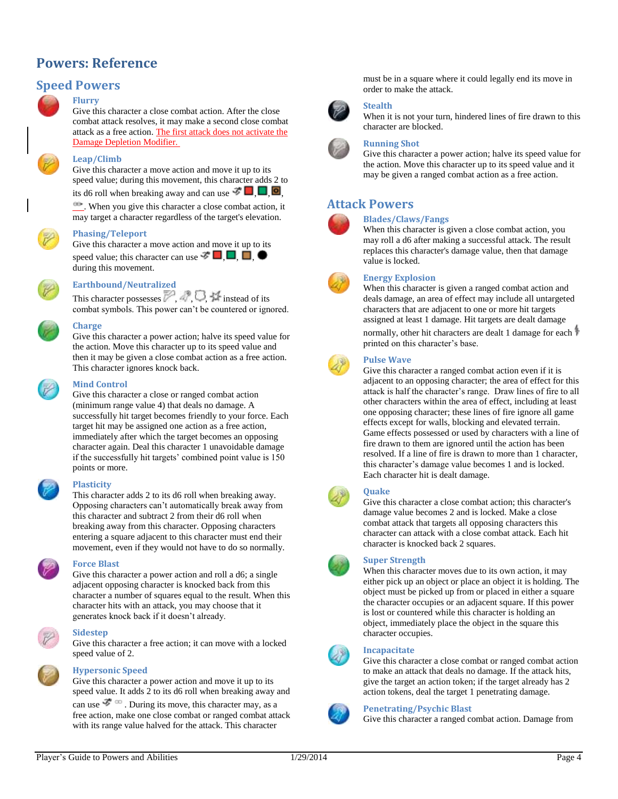# <span id="page-4-0"></span>**Powers: Reference**

# **Speed Powers**

# **Flurry**

Give this character a close combat action. After the close combat attack resolves, it may make a second close combat attack as a free action. The first attack does not activate the Damage Depletion Modifier.



# **Leap/Climb**

Give this character a move action and move it up to its speed value; during this movement, this character adds 2 to its d6 roll when breaking away and can use  $\vec{v}$ 

. When you give this character a close combat action, it may target a character regardless of the target's elevation.



#### **Phasing/Teleport**

Give this character a move action and move it up to its speed value; this character can use  $\vec{\mathcal{F}}$   $\Box$ ,  $\Box$ ,  $\Box$ during this movement.



# **Earthbound/Neutralized**

This character possesses  $\mathbb{Z}$ ,  $\mathbb{Z}$ ,  $\mathbb{Z}$  instead of its combat symbols. This power can't be countered or ignored.



#### **Charge**

Give this character a power action; halve its speed value for the action. Move this character up to its speed value and then it may be given a close combat action as a free action. This character ignores knock back.



### **Mind Control**

Give this character a close or ranged combat action (minimum range value 4) that deals no damage. A successfully hit target becomes friendly to your force. Each target hit may be assigned one action as a free action, immediately after which the target becomes an opposing character again. Deal this character 1 unavoidable damage if the successfully hit targets' combined point value is 150 points or more.

#### **Plasticity**

This character adds 2 to its d6 roll when breaking away. Opposing characters can't automatically break away from this character and subtract 2 from their d6 roll when breaking away from this character. Opposing characters entering a square adjacent to this character must end their movement, even if they would not have to do so normally.

#### **Force Blast**

Give this character a power action and roll a d6; a single adjacent opposing character is knocked back from this character a number of squares equal to the result. When this character hits with an attack, you may choose that it generates knock back if it doesn't already.



#### **Sidestep**

Give this character a free action; it can move with a locked speed value of 2.



#### **Hypersonic Speed**

Give this character a power action and move it up to its speed value. It adds 2 to its d6 roll when breaking away and can use  $\mathcal{F}^{\infty}$ . During its move, this character may, as a free action, make one close combat or ranged combat attack with its range value halved for the attack. This character

must be in a square where it could legally end its move in order to make the attack.



### **Stealth**

When it is not your turn, hindered lines of fire drawn to this character are blocked.

#### **Running Shot**

Give this character a power action; halve its speed value for the action. Move this character up to its speed value and it may be given a ranged combat action as a free action.

# **Attack Powers**

#### **Blades/Claws/Fangs**



#### When this character is given a close combat action, you may roll a d6 after making a successful attack. The result replaces this character's damage value, then that damage value is locked.



### **Energy Explosion**

When this character is given a ranged combat action and deals damage, an area of effect may include all untargeted characters that are adjacent to one or more hit targets assigned at least 1 damage. Hit targets are dealt damage

normally, other hit characters are dealt 1 damage for each printed on this character's base.

### **Pulse Wave**

Give this character a ranged combat action even if it is adjacent to an opposing character; the area of effect for this attack is half the character's range. Draw lines of fire to all other characters within the area of effect, including at least one opposing character; these lines of fire ignore all game effects except for walls, blocking and elevated terrain. Game effects possessed or used by characters with a line of fire drawn to them are ignored until the action has been resolved. If a line of fire is drawn to more than 1 character, this character's damage value becomes 1 and is locked. Each character hit is dealt damage.



# **Quake**

Give this character a close combat action; this character's damage value becomes 2 and is locked. Make a close combat attack that targets all opposing characters this character can attack with a close combat attack. Each hit character is knocked back 2 squares.

### **Super Strength**

When this character moves due to its own action, it may either pick up an object or place an object it is holding. The object must be picked up from or placed in either a square the character occupies or an adjacent square. If this power is lost or countered while this character is holding an object, immediately place the object in the square this character occupies.



### **Incapacitate**

Give this character a close combat or ranged combat action to make an attack that deals no damage. If the attack hits, give the target an action token; if the target already has 2 action tokens, deal the target 1 penetrating damage.



### **Penetrating/Psychic Blast**

Give this character a ranged combat action. Damage from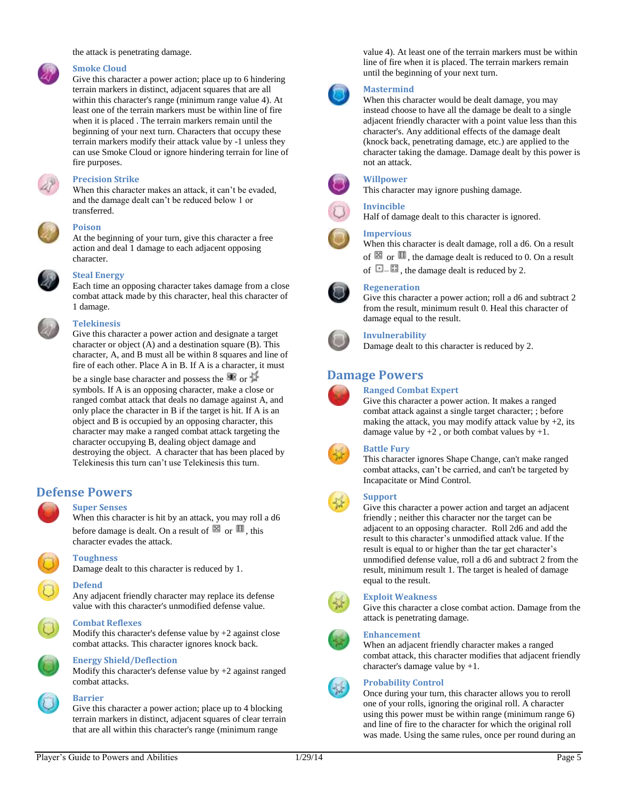the attack is penetrating damage.

#### **Smoke Cloud**

Give this character a power action; place up to 6 hindering terrain markers in distinct, adjacent squares that are all within this character's range (minimum range value 4). At least one of the terrain markers must be within line of fire when it is placed . The terrain markers remain until the beginning of your next turn. Characters that occupy these terrain markers modify their attack value by -1 unless they can use Smoke Cloud or ignore hindering terrain for line of fire purposes.



#### **Precision Strike**

When this character makes an attack, it can't be evaded, and the damage dealt can't be reduced below 1 or transferred.



#### **Poison**

At the beginning of your turn, give this character a free action and deal 1 damage to each adjacent opposing character.



#### **Steal Energy**

Each time an opposing character takes damage from a close combat attack made by this character, heal this character of 1 damage.

#### **Telekinesis**

Give this character a power action and designate a target character or object (A) and a destination square (B). This character, A, and B must all be within 8 squares and line of fire of each other. Place A in B. If A is a character, it must

be a single base character and possess the  $\mathcal{F}$  or  $\mathcal{F}$ symbols. If A is an opposing character, make a close or ranged combat attack that deals no damage against A, and only place the character in B if the target is hit. If A is an object and B is occupied by an opposing character, this character may make a ranged combat attack targeting the character occupying B, dealing object damage and destroying the object. A character that has been placed by Telekinesis this turn can't use Telekinesis this turn.

# **Defense Powers**

### **Super Senses**

When this character is hit by an attack, you may roll a d6 before damage is dealt. On a result of  $\boxtimes$  or  $\boxplus$ , this character evades the attack.



#### **Toughness**

Damage dealt to this character is reduced by 1.

#### **Defend**

Any adjacent friendly character may replace its defense value with this character's unmodified defense value.

Modify this character's defense value by  $+2$  against close combat attacks. This character ignores knock back.



### **Energy Shield/Deflection**

**Combat Reflexes**

Modify this character's defense value by +2 against ranged combat attacks.



# **Barrier**

Give this character a power action; place up to 4 blocking terrain markers in distinct, adjacent squares of clear terrain that are all within this character's range (minimum range

value 4). At least one of the terrain markers must be within line of fire when it is placed. The terrain markers remain until the beginning of your next turn.



### **Mastermind**

When this character would be dealt damage, you may instead choose to have all the damage be dealt to a single adjacent friendly character with a point value less than this character's. Any additional effects of the damage dealt (knock back, penetrating damage, etc.) are applied to the character taking the damage. Damage dealt by this power is not an attack.



# **Willpower**

This character may ignore pushing damage.



# **Invincible**

Half of damage dealt to this character is ignored.

#### **Impervious**

When this character is dealt damage, roll a d6. On a result of  $\boxtimes$  or  $\blacksquare$ , the damage dealt is reduced to 0. On a result of  $\Box$  –  $\Box$ , the damage dealt is reduced by 2.

#### **Regeneration**

Give this character a power action; roll a d6 and subtract 2 from the result, minimum result 0. Heal this character of damage equal to the result.



#### **Invulnerability**

Damage dealt to this character is reduced by 2.

# **Damage Powers**



# **Ranged Combat Expert**

Give this character a power action. It makes a ranged combat attack against a single target character; ; before making the attack, you may modify attack value by  $+2$ , its damage value by  $+2$ , or both combat values by  $+1$ .



#### **Battle Fury**

This character ignores Shape Change, can't make ranged combat attacks, can't be carried, and can't be targeted by Incapacitate or Mind Control.

# **Support**

Give this character a power action and target an adjacent friendly ; neither this character nor the target can be adjacent to an opposing character. Roll 2d6 and add the result to this character's unmodified attack value. If the result is equal to or higher than the tar get character's unmodified defense value, roll a d6 and subtract 2 from the result, minimum result 1. The target is healed of damage equal to the result.



### **Exploit Weakness**

Give this character a close combat action. Damage from the attack is penetrating damage.



### **Enhancement**

When an adjacent friendly character makes a ranged combat attack, this character modifies that adjacent friendly character's damage value by +1.

### **Probability Control**

Once during your turn, this character allows you to reroll one of your rolls, ignoring the original roll. A character using this power must be within range (minimum range 6) and line of fire to the character for which the original roll was made. Using the same rules, once per round during an





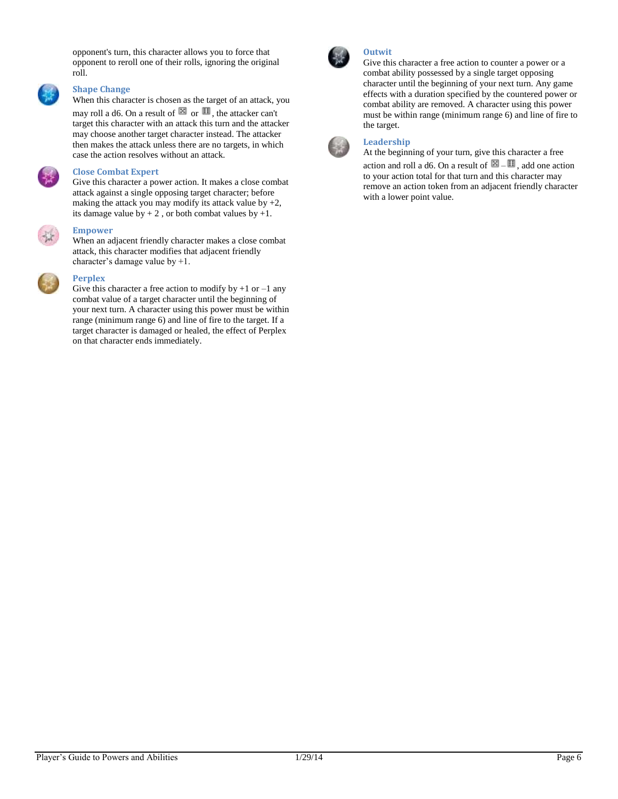opponent's turn, this character allows you to force that opponent to reroll one of their rolls, ignoring the original roll.

### **Shape Change**

When this character is chosen as the target of an attack, you

may roll a d6. On a result of  $\boxtimes$  or  $\boxplus$ , the attacker can't target this character with an attack this turn and the attacker may choose another target character instead. The attacker then makes the attack unless there are no targets, in which case the action resolves without an attack.

#### **Close Combat Expert**

Give this character a power action. It makes a close combat attack against a single opposing target character; before making the attack you may modify its attack value by  $+2$ , its damage value by  $+ 2$ , or both combat values by  $+1$ .

**Empower**

When an adjacent friendly character makes a close combat attack, this character modifies that adjacent friendly character's damage value by +1.



### **Perplex**

Give this character a free action to modify by  $+1$  or  $-1$  any combat value of a target character until the beginning of your next turn. A character using this power must be within range (minimum range 6) and line of fire to the target. If a target character is damaged or healed, the effect of Perplex on that character ends immediately.



### **Outwit**

Give this character a free action to counter a power or a combat ability possessed by a single target opposing character until the beginning of your next turn. Any game effects with a duration specified by the countered power or combat ability are removed. A character using this power must be within range (minimum range 6) and line of fire to the target.

# **Leadership**

At the beginning of your turn, give this character a free action and roll a d6. On a result of  $\mathbb{H} - \mathbb{H}$ , add one action to your action total for that turn and this character may remove an action token from an adjacent friendly character with a lower point value.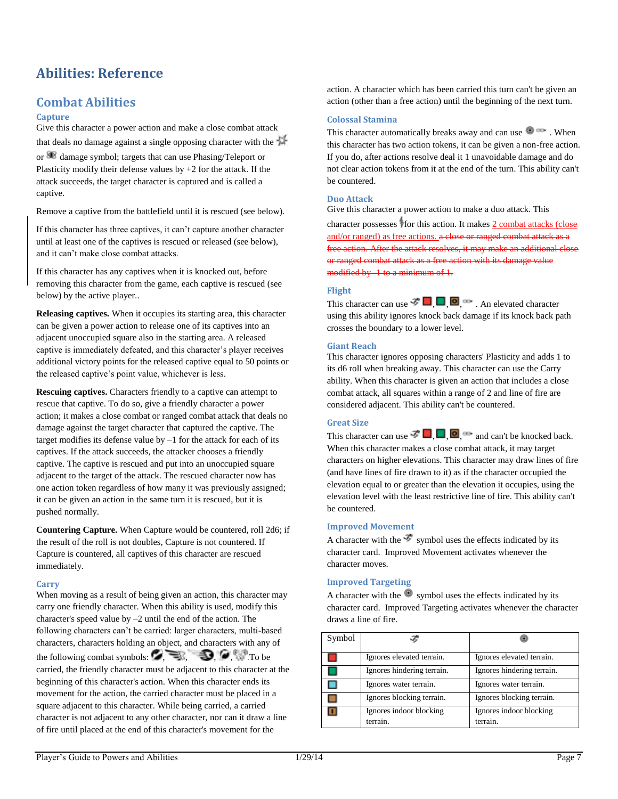# <span id="page-7-0"></span>**Abilities: Reference**

# **Combat Abilities**

### **Capture**

Give this character a power action and make a close combat attack that deals no damage against a single opposing character with the

or damage symbol; targets that can use Phasing/Teleport or Plasticity modify their defense values by  $+2$  for the attack. If the attack succeeds, the target character is captured and is called a captive.

Remove a captive from the battlefield until it is rescued (see below).

If this character has three captives, it can't capture another character until at least one of the captives is rescued or released (see below), and it can't make close combat attacks.

If this character has any captives when it is knocked out, before removing this character from the game, each captive is rescued (see below) by the active player..

**Releasing captives.** When it occupies its starting area, this character can be given a power action to release one of its captives into an adjacent unoccupied square also in the starting area. A released captive is immediately defeated, and this character's player receives additional victory points for the released captive equal to 50 points or the released captive's point value, whichever is less.

**Rescuing captives.** Characters friendly to a captive can attempt to rescue that captive. To do so, give a friendly character a power action; it makes a close combat or ranged combat attack that deals no damage against the target character that captured the captive. The target modifies its defense value by  $-1$  for the attack for each of its captives. If the attack succeeds, the attacker chooses a friendly captive. The captive is rescued and put into an unoccupied square adjacent to the target of the attack. The rescued character now has one action token regardless of how many it was previously assigned; it can be given an action in the same turn it is rescued, but it is pushed normally.

**Countering Capture.** When Capture would be countered, roll 2d6; if the result of the roll is not doubles, Capture is not countered. If Capture is countered, all captives of this character are rescued immediately.

# **Carry**

When moving as a result of being given an action, this character may carry one friendly character. When this ability is used, modify this character's speed value by –2 until the end of the action. The following characters can't be carried: larger characters, multi-based characters, characters holding an object, and characters with any of the following combat symbols:  $\mathcal{F} \equiv$  ,  $\mathcal{F} \rightarrow \mathcal{F}$ . To be carried, the friendly character must be adjacent to this character at the beginning of this character's action. When this character ends its movement for the action, the carried character must be placed in a square adjacent to this character. While being carried, a carried character is not adjacent to any other character, nor can it draw a line of fire until placed at the end of this character's movement for the

action. A character which has been carried this turn can't be given an action (other than a free action) until the beginning of the next turn.

### **Colossal Stamina**

This character automatically breaks away and can use  $\bullet$ . When this character has two action tokens, it can be given a non-free action. If you do, after actions resolve deal it 1 unavoidable damage and do not clear action tokens from it at the end of the turn. This ability can't be countered.

### **Duo Attack**

Give this character a power action to make a duo attack. This

character possesses for this action. It makes 2 combat attacks (close and/or ranged) as free actions. a close or ranged combat attack as a free action. After the attack resolves, it may make an additional close or ranged combat attack as a free action with its damage value modified by -1 to a minimum of 1.

### **Flight**

This character can use  $\mathcal{F} \Box \Box \Box$ . An elevated character using this ability ignores knock back damage if its knock back path crosses the boundary to a lower level.

### **Giant Reach**

This character ignores opposing characters' Plasticity and adds 1 to its d6 roll when breaking away. This character can use the Carry ability. When this character is given an action that includes a close combat attack, all squares within a range of 2 and line of fire are considered adjacent. This ability can't be countered.

## **Great Size**

This character can use  $\vec{F} \blacksquare$ ,  $\blacksquare$ ,  $\blacksquare$ ,  $\blacksquare$  and can't be knocked back. When this character makes a close combat attack, it may target characters on higher elevations. This character may draw lines of fire (and have lines of fire drawn to it) as if the character occupied the elevation equal to or greater than the elevation it occupies, using the elevation level with the least restrictive line of fire. This ability can't be countered.

## **Improved Movement**

A character with the  $\mathcal{F}$  symbol uses the effects indicated by its character card. Improved Movement activates whenever the character moves.

### **Improved Targeting**

A character with the  $\bullet$  symbol uses the effects indicated by its character card. Improved Targeting activates whenever the character draws a line of fire.

| Symbol |                                     |                                     |
|--------|-------------------------------------|-------------------------------------|
|        | Ignores elevated terrain.           | Ignores elevated terrain.           |
|        | Ignores hindering terrain.          | Ignores hindering terrain.          |
|        | Ignores water terrain.              | Ignores water terrain.              |
|        | Ignores blocking terrain.           | Ignores blocking terrain.           |
|        | Ignores indoor blocking<br>terrain. | Ignores indoor blocking<br>terrain. |